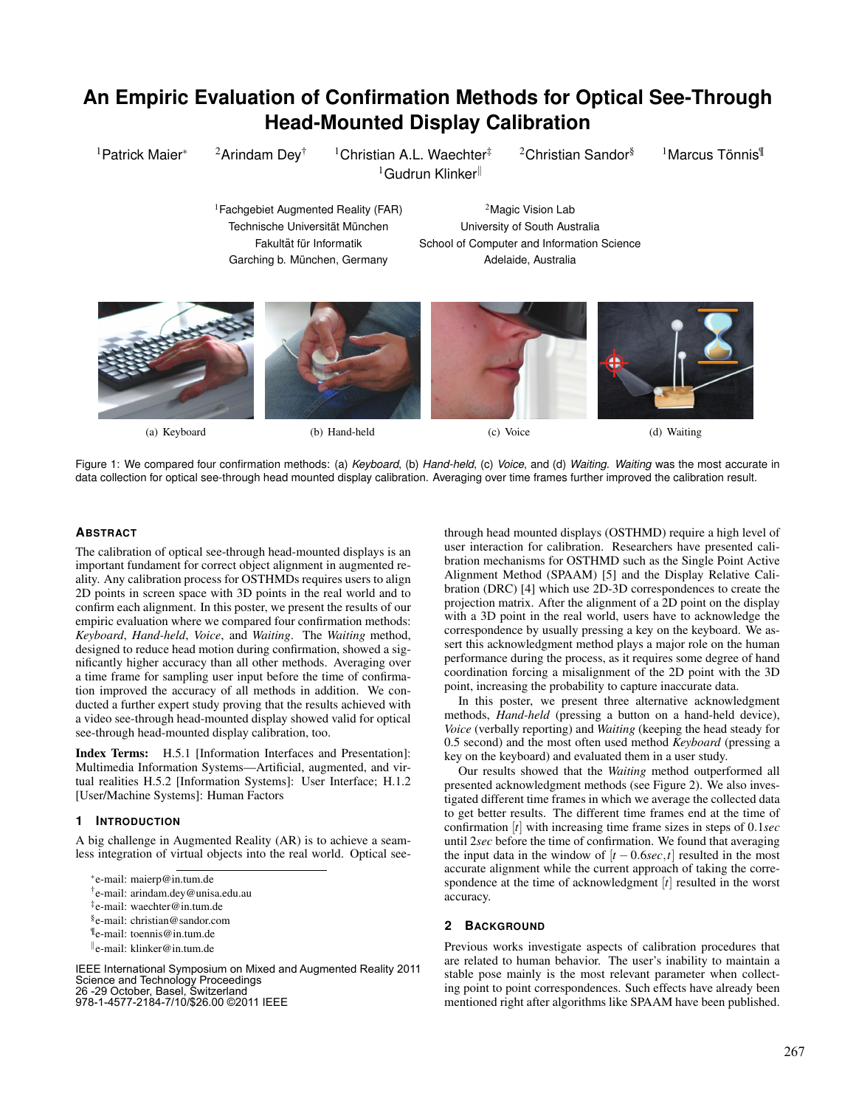# **An Empiric Evaluation of Confirmation Methods for Optical See-Through Head-Mounted Display Calibration**

<sup>1</sup>Patrick Maier<sup>∗</sup> <sup>2</sup>Arindam Dey<sup>†</sup> <sup>1</sup>Christian A.L. Waechter‡ <sup>2</sup>Christian Sandor<sup>§</sup>  $1$ Gudrun Klinker $\mathbb I$ 

<sup>1</sup>Marcus Tönnis<sup>¶</sup>

<sup>1</sup>Fachgebiet Augmented Reality (FAR)  $2^{\Omega}$ Magic Vision Lab Garching b. München, Germany international and adelaide, Australia

Technische Universität München inneb University of South Australia Fakultät für Informatik School of Computer and Information Science



(a) Keyboard (b) Hand-held (c) Voice (d) Waiting

Figure 1: We compared four confirmation methods: (a) *Keyboard*, (b) *Hand-held*, (c) *Voice*, and (d) *Waiting*. *Waiting* was the most accurate in data collection for optical see-through head mounted display calibration. Averaging over time frames further improved the calibration result.

## **ABSTRACT**

The calibration of optical see-through head-mounted displays is an important fundament for correct object alignment in augmented reality. Any calibration process for OSTHMDs requires users to align 2D points in screen space with 3D points in the real world and to confirm each alignment. In this poster, we present the results of our empiric evaluation where we compared four confirmation methods: *Keyboard*, *Hand-held*, *Voice*, and *Waiting*. The *Waiting* method, designed to reduce head motion during confirmation, showed a significantly higher accuracy than all other methods. Averaging over a time frame for sampling user input before the time of confirmation improved the accuracy of all methods in addition. We conducted a further expert study proving that the results achieved with a video see-through head-mounted display showed valid for optical see-through head-mounted display calibration, too.

Index Terms: H.5.1 [Information Interfaces and Presentation]: Multimedia Information Systems—Artificial, augmented, and virtual realities H.5.2 [Information Systems]: User Interface; H.1.2 [User/Machine Systems]: Human Factors

## **1 INTRODUCTION**

A big challenge in Augmented Reality (AR) is to achieve a seamless integration of virtual objects into the real world. Optical see-

∗ e-mail: maierp@in.tum.de

- † e-mail: arindam.dey@unisa.edu.au
- ‡ e-mail: waechter@in.tum.de
- § e-mail: christian@sandor.com
- ¶ e-mail: toennis@in.tum.de
- k e-mail: klinker@in.tum.de

IEEE International Symposium on Mixed and Augmented Reality 2011 Science and Technology Proceedings 26 -29 October, Basel, Switzerland 978-1-4577-2184-7/10/\$26.00 ©2011 IEEE

through head mounted displays (OSTHMD) require a high level of user interaction for calibration. Researchers have presented calibration mechanisms for OSTHMD such as the Single Point Active Alignment Method (SPAAM) [5] and the Display Relative Calibration (DRC) [4] which use 2D-3D correspondences to create the projection matrix. After the alignment of a 2D point on the display with a 3D point in the real world, users have to acknowledge the correspondence by usually pressing a key on the keyboard. We assert this acknowledgment method plays a major role on the human performance during the process, as it requires some degree of hand coordination forcing a misalignment of the 2D point with the 3D point, increasing the probability to capture inaccurate data.

In this poster, we present three alternative acknowledgment methods, *Hand-held* (pressing a button on a hand-held device), *Voice* (verbally reporting) and *Waiting* (keeping the head steady for 0.5 second) and the most often used method *Keyboard* (pressing a key on the keyboard) and evaluated them in a user study.

Our results showed that the *Waiting* method outperformed all presented acknowledgment methods (see Figure 2). We also investigated different time frames in which we average the collected data to get better results. The different time frames end at the time of confirmation [*t*] with increasing time frame sizes in steps of 0.1*sec* until 2*sec* before the time of confirmation. We found that averaging the input data in the window of  $[t - 0.6 \sec, t]$  resulted in the most accurate alignment while the current approach of taking the correspondence at the time of acknowledgment [*t*] resulted in the worst accuracy.

## **2 BACKGROUND**

Previous works investigate aspects of calibration procedures that are related to human behavior. The user's inability to maintain a stable pose mainly is the most relevant parameter when collecting point to point correspondences. Such effects have already been mentioned right after algorithms like SPAAM have been published.